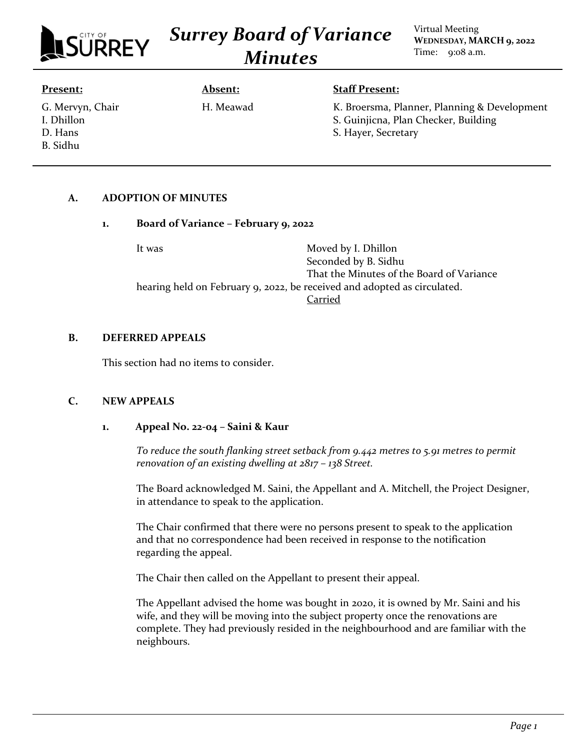

*Surrey Board of Variance Minutes*

Virtual Meeting **WEDNESDAY, MARCH 9, 2022** Time: 9:08 a.m.

#### **Present:**

G. Mervyn, Chair I. Dhillon D. Hans B. Sidhu

# **Absent:** H. Meawad

# **Staff Present:**

K. Broersma, Planner, Planning & Development S. Guinjicna, Plan Checker, Building S. Hayer, Secretary

# **A. ADOPTION OF MINUTES**

# **1. Board of Variance – February 9, 2022**

It was Moved by I. Dhillon Seconded by B. Sidhu That the Minutes of the Board of Variance hearing held on February 9, 2022, be received and adopted as circulated. Carried

# **B. DEFERRED APPEALS**

This section had no items to consider.

# **C. NEW APPEALS**

# **1. Appeal No. 22-04 – Saini & Kaur**

*To reduce the south flanking street setback from 9.442 metres to 5.91 metres to permit renovation of an existing dwelling at 2817 – 138 Street.*

The Board acknowledged M. Saini, the Appellant and A. Mitchell, the Project Designer, in attendance to speak to the application.

The Chair confirmed that there were no persons present to speak to the application and that no correspondence had been received in response to the notification regarding the appeal.

The Chair then called on the Appellant to present their appeal.

The Appellant advised the home was bought in 2020, it is owned by Mr. Saini and his wife, and they will be moving into the subject property once the renovations are complete. They had previously resided in the neighbourhood and are familiar with the neighbours.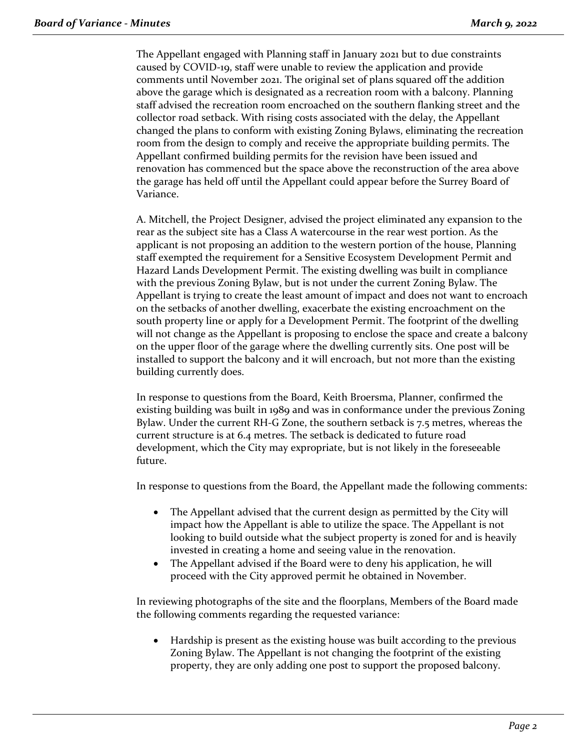The Appellant engaged with Planning staff in January 2021 but to due constraints caused by COVID-19, staff were unable to review the application and provide comments until November 2021. The original set of plans squared off the addition above the garage which is designated as a recreation room with a balcony. Planning staff advised the recreation room encroached on the southern flanking street and the collector road setback. With rising costs associated with the delay, the Appellant changed the plans to conform with existing Zoning Bylaws, eliminating the recreation room from the design to comply and receive the appropriate building permits. The Appellant confirmed building permits for the revision have been issued and renovation has commenced but the space above the reconstruction of the area above the garage has held off until the Appellant could appear before the Surrey Board of Variance.

A. Mitchell, the Project Designer, advised the project eliminated any expansion to the rear as the subject site has a Class A watercourse in the rear west portion. As the applicant is not proposing an addition to the western portion of the house, Planning staff exempted the requirement for a Sensitive Ecosystem Development Permit and Hazard Lands Development Permit. The existing dwelling was built in compliance with the previous Zoning Bylaw, but is not under the current Zoning Bylaw. The Appellant is trying to create the least amount of impact and does not want to encroach on the setbacks of another dwelling, exacerbate the existing encroachment on the south property line or apply for a Development Permit. The footprint of the dwelling will not change as the Appellant is proposing to enclose the space and create a balcony on the upper floor of the garage where the dwelling currently sits. One post will be installed to support the balcony and it will encroach, but not more than the existing building currently does.

In response to questions from the Board, Keith Broersma, Planner, confirmed the existing building was built in 1989 and was in conformance under the previous Zoning Bylaw. Under the current RH-G Zone, the southern setback is 7.5 metres, whereas the current structure is at 6.4 metres. The setback is dedicated to future road development, which the City may expropriate, but is not likely in the foreseeable future.

In response to questions from the Board, the Appellant made the following comments:

- The Appellant advised that the current design as permitted by the City will impact how the Appellant is able to utilize the space. The Appellant is not looking to build outside what the subject property is zoned for and is heavily invested in creating a home and seeing value in the renovation.
- The Appellant advised if the Board were to deny his application, he will proceed with the City approved permit he obtained in November.

In reviewing photographs of the site and the floorplans, Members of the Board made the following comments regarding the requested variance:

• Hardship is present as the existing house was built according to the previous Zoning Bylaw. The Appellant is not changing the footprint of the existing property, they are only adding one post to support the proposed balcony.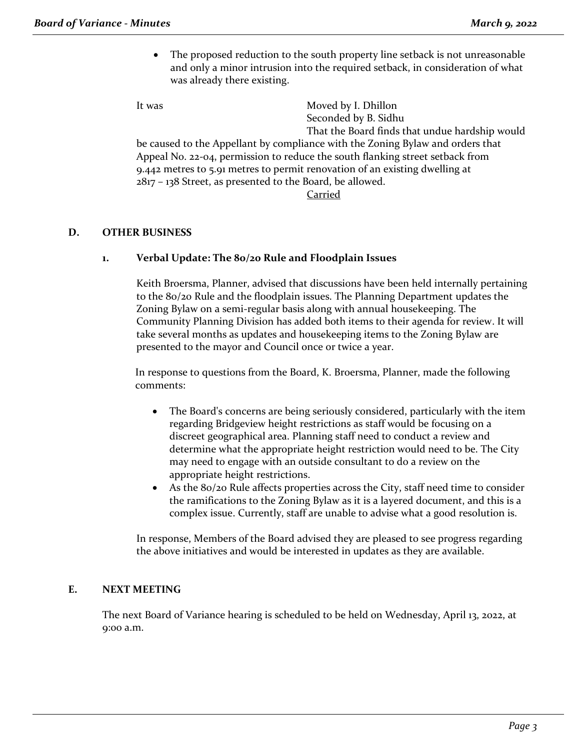The proposed reduction to the south property line setback is not unreasonable and only a minor intrusion into the required setback, in consideration of what was already there existing.

It was Moved by I. Dhillon Seconded by B. Sidhu That the Board finds that undue hardship would be caused to the Appellant by compliance with the Zoning Bylaw and orders that Appeal No. 22-04, permission to reduce the south flanking street setback from 9.442 metres to 5.91 metres to permit renovation of an existing dwelling at 2817 – 138 Street, as presented to the Board, be allowed.

Carried

# **D. OTHER BUSINESS**

# **1. Verbal Update: The 80/20 Rule and Floodplain Issues**

Keith Broersma, Planner, advised that discussions have been held internally pertaining to the 80/20 Rule and the floodplain issues. The Planning Department updates the Zoning Bylaw on a semi-regular basis along with annual housekeeping. The Community Planning Division has added both items to their agenda for review. It will take several months as updates and housekeeping items to the Zoning Bylaw are presented to the mayor and Council once or twice a year.

In response to questions from the Board, K. Broersma, Planner, made the following comments:

- The Board's concerns are being seriously considered, particularly with the item regarding Bridgeview height restrictions as staff would be focusing on a discreet geographical area. Planning staff need to conduct a review and determine what the appropriate height restriction would need to be. The City may need to engage with an outside consultant to do a review on the appropriate height restrictions.
- As the 80/20 Rule affects properties across the City, staff need time to consider the ramifications to the Zoning Bylaw as it is a layered document, and this is a complex issue. Currently, staff are unable to advise what a good resolution is.

In response, Members of the Board advised they are pleased to see progress regarding the above initiatives and would be interested in updates as they are available.

# **E. NEXT MEETING**

The next Board of Variance hearing is scheduled to be held on Wednesday, April 13, 2022, at 9:00 a.m.